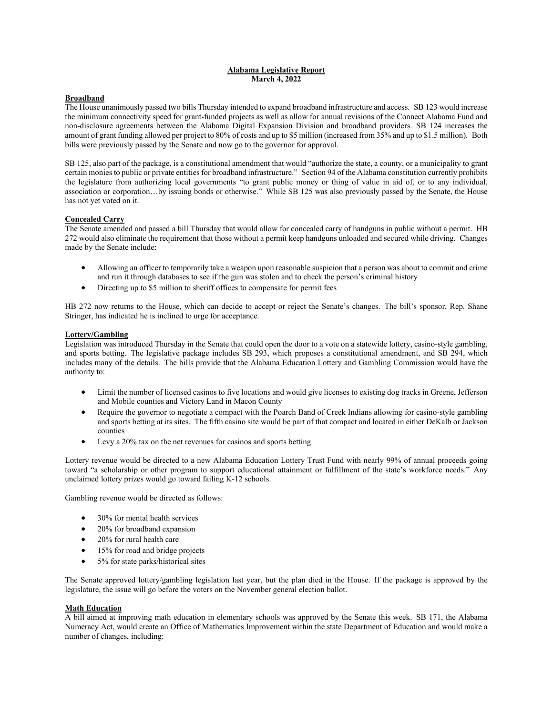#### **Alabama Legislative Report March 4, 2022**

#### **Broadband**

The House unanimously passed two bills Thursday intended to expand broadband infrastructure and access. SB 123 would increase the minimum connectivity speed for grant-funded projects as well as allow for annual revisions of the Connect Alabama Fund and non-disclosure agreements between the Alabama Digital Expansion Division and broadband providers. SB 124 increases the amount of grant funding allowed per project to 80% of costs and up to \$5 million (increased from 35% and up to \$1.5 million). Both bills were previously passed by the Senate and now go to the governor for approval.

SB 125, also part of the package, is a constitutional amendment that would "authorize the state, a county, or a municipality to grant certain monies to public or private entities for broadband infrastructure." Section 94 of the Alabama constitution currently prohibits the legislature from authorizing local governments "to grant public money or thing of value in aid of, or to any individual, association or corporation…by issuing bonds or otherwise." While SB 125 was also previously passed by the Senate, the House has not yet voted on it.

### **Concealed Carry**

The Senate amended and passed a bill Thursday that would allow for concealed carry of handguns in public without a permit. HB 272 would also eliminate the requirement that those without a permit keep handguns unloaded and secured while driving. Changes made by the Senate include:

- Allowing an officer to temporarily take a weapon upon reasonable suspicion that a person was about to commit and crime and run it through databases to see if the gun was stolen and to check the person's criminal history
- Directing up to \$5 million to sheriff offices to compensate for permit fees

HB 272 now returns to the House, which can decide to accept or reject the Senate's changes. The bill's sponsor, Rep. Shane Stringer, has indicated he is inclined to urge for acceptance.

#### **Lottery/Gambling**

Legislation was introduced Thursday in the Senate that could open the door to a vote on a statewide lottery, casino-style gambling, and sports betting. The legislative package includes SB 293, which proposes a constitutional amendment, and SB 294, which includes many of the details. The bills provide that the Alabama Education Lottery and Gambling Commission would have the authority to:

- Limit the number of licensed casinos to five locations and would give licenses to existing dog tracks in Greene, Jefferson and Mobile counties and Victory Land in Macon County
- Require the governor to negotiate a compact with the Poarch Band of Creek Indians allowing for casino-style gambling and sports betting at its sites. The fifth casino site would be part of that compact and located in either DeKalb or Jackson counties
- Levy a 20% tax on the net revenues for casinos and sports betting

Lottery revenue would be directed to a new Alabama Education Lottery Trust Fund with nearly 99% of annual proceeds going toward "a scholarship or other program to support educational attainment or fulfillment of the state's workforce needs." Any unclaimed lottery prizes would go toward failing K-12 schools.

Gambling revenue would be directed as follows:

- 30% for mental health services
- 20% for broadband expansion
- 20% for rural health care
- 15% for road and bridge projects
- 5% for state parks/historical sites

The Senate approved lottery/gambling legislation last year, but the plan died in the House. If the package is approved by the legislature, the issue will go before the voters on the November general election ballot.

#### **Math Education**

A bill aimed at improving math education in elementary schools was approved by the Senate this week. SB 171, the Alabama Numeracy Act, would create an Office of Mathematics Improvement within the state Department of Education and would make a number of changes, including: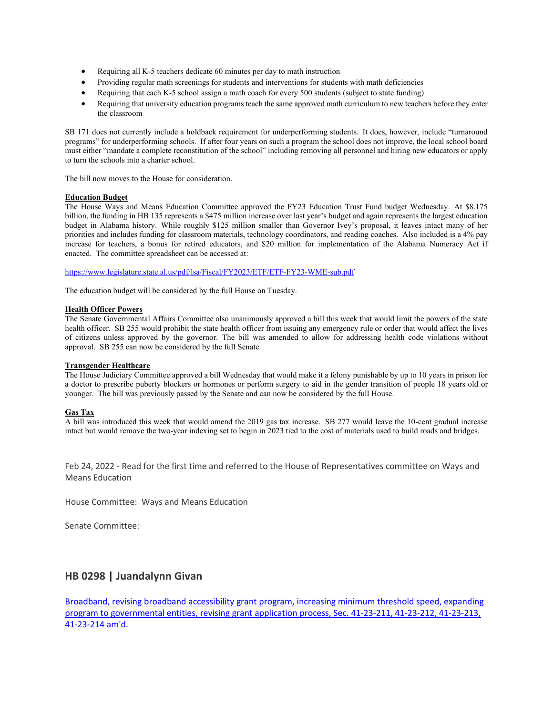- Requiring all K-5 teachers dedicate 60 minutes per day to math instruction
- Providing regular math screenings for students and interventions for students with math deficiencies
- Requiring that each K-5 school assign a math coach for every 500 students (subject to state funding)
- Requiring that university education programs teach the same approved math curriculum to new teachers before they enter the classroom

SB 171 does not currently include a holdback requirement for underperforming students. It does, however, include "turnaround programs" for underperforming schools. If after four years on such a program the school does not improve, the local school board must either "mandate a complete reconstitution of the school" including removing all personnel and hiring new educators or apply to turn the schools into a charter school.

The bill now moves to the House for consideration.

#### **Education Budget**

The House Ways and Means Education Committee approved the FY23 Education Trust Fund budget Wednesday. At \$8.175 billion, the funding in HB 135 represents a \$475 million increase over last year's budget and again represents the largest education budget in Alabama history. While roughly \$125 million smaller than Governor Ivey's proposal, it leaves intact many of her priorities and includes funding for classroom materials, technology coordinators, and reading coaches. Also included is a 4% pay increase for teachers, a bonus for retired educators, and \$20 million for implementation of the Alabama Numeracy Act if enacted. The committee spreadsheet can be accessed at:

[https://www.legislature.state.al.us/pdf/lsa/Fiscal/FY2023/ETF/ETF-FY23-WME-sub.pdf](https://url.emailprotection.link/?bfhTaN8D1SV6vSgirrMmHsD-D7qJQQAGCRHvlHPXYR5zfVIW7IxKUJEYUDMOz3qt1cRIlbjVwuAUA25nM1UlPE8Na1ccPBBnb-cgAubSOjNzzGB8t6N36oOPF00TVaM_y)

The education budget will be considered by the full House on Tuesday.

#### **Health Officer Powers**

The Senate Governmental Affairs Committee also unanimously approved a bill this week that would limit the powers of the state health officer. SB 255 would prohibit the state health officer from issuing any emergency rule or order that would affect the lives of citizens unless approved by the governor. The bill was amended to allow for addressing health code violations without approval. SB 255 can now be considered by the full Senate.

#### **Transgender Healthcare**

The House Judiciary Committee approved a bill Wednesday that would make it a felony punishable by up to 10 years in prison for a doctor to prescribe puberty blockers or hormones or perform surgery to aid in the gender transition of people 18 years old or younger. The bill was previously passed by the Senate and can now be considered by the full House.

#### **Gas Tax**

A bill was introduced this week that would amend the 2019 gas tax increase. SB 277 would leave the 10-cent gradual increase intact but would remove the two-year indexing set to begin in 2023 tied to the cost of materials used to build roads and bridges.

Feb 24, 2022 - Read for the first time and referred to the House of Representatives committee on Ways and Means Education

House Committee: Ways and Means Education

Senate Committee:

### **HB 0298 | Juandalynn Givan**

[Broadband, revising broadband accessibility grant program, increasing minimum threshold speed, expanding](https://url.emailprotection.link/?bt2jn0wBWWaClHUMrjNQd9Vtl6WuR7wF2gUrD4wz0-xTUMdBaqanhQbhHoyUsu-NzusURS8mAq6QYSTqQAT7qM6hc1ozrOl5a-MjhuOSWjN99pNB8pKgLAq1NSk4EgCvVxQx9HzQG85Emf95RLGRq59_l7l6cwvpr2TTJpFSQXlYKBZJ6syvgs_0k7DVOg5b3RKg2Zcymx0H37WEy6GOGqgpM6XqANCtgX91Xg3hB5jBZLw997QfDHDMwuhAPLPa703UebnWIPTqU2gjSkzqRMBbd-vudNKs9z230Sm36CWAgEnai71PAQswzuWCUic_rQQ7J-YDXpPqMgc91lHtQG0A4KNizLwcLoeAFcqatHpqhXSbXMLOLBia0xj6eZ_3atyCFqGSW-MD6molBV7hNdlHWnkCd-NIcKvqKJ9v1KAogXu2Y8oYaC4UxxFx1rcVFGSuGCa5uYI5Ssz73J9AIm_nbFrI4TNrhKY-z5i87b7sW457oU5jm5pz-2RbQ30esnOvewROtuMgtdKVgrNjqQ08e0CsY6A-Mo6Gayd2tTwtjfIXyhxg8CAf7MkWLTHwS2p23PSPU6D4rDOhM8-0QGsdvol_u4yik0slpVxdCALl3vDcGVFJ3H0ivPeEawmpu)  [program to governmental entities, revising grant application process, Sec. 41-23-211, 41-23-212, 41-23-213,](https://url.emailprotection.link/?bt2jn0wBWWaClHUMrjNQd9Vtl6WuR7wF2gUrD4wz0-xTUMdBaqanhQbhHoyUsu-NzusURS8mAq6QYSTqQAT7qM6hc1ozrOl5a-MjhuOSWjN99pNB8pKgLAq1NSk4EgCvVxQx9HzQG85Emf95RLGRq59_l7l6cwvpr2TTJpFSQXlYKBZJ6syvgs_0k7DVOg5b3RKg2Zcymx0H37WEy6GOGqgpM6XqANCtgX91Xg3hB5jBZLw997QfDHDMwuhAPLPa703UebnWIPTqU2gjSkzqRMBbd-vudNKs9z230Sm36CWAgEnai71PAQswzuWCUic_rQQ7J-YDXpPqMgc91lHtQG0A4KNizLwcLoeAFcqatHpqhXSbXMLOLBia0xj6eZ_3atyCFqGSW-MD6molBV7hNdlHWnkCd-NIcKvqKJ9v1KAogXu2Y8oYaC4UxxFx1rcVFGSuGCa5uYI5Ssz73J9AIm_nbFrI4TNrhKY-z5i87b7sW457oU5jm5pz-2RbQ30esnOvewROtuMgtdKVgrNjqQ08e0CsY6A-Mo6Gayd2tTwtjfIXyhxg8CAf7MkWLTHwS2p23PSPU6D4rDOhM8-0QGsdvol_u4yik0slpVxdCALl3vDcGVFJ3H0ivPeEawmpu)  [41-23-214 am'd.](https://url.emailprotection.link/?bt2jn0wBWWaClHUMrjNQd9Vtl6WuR7wF2gUrD4wz0-xTUMdBaqanhQbhHoyUsu-NzusURS8mAq6QYSTqQAT7qM6hc1ozrOl5a-MjhuOSWjN99pNB8pKgLAq1NSk4EgCvVxQx9HzQG85Emf95RLGRq59_l7l6cwvpr2TTJpFSQXlYKBZJ6syvgs_0k7DVOg5b3RKg2Zcymx0H37WEy6GOGqgpM6XqANCtgX91Xg3hB5jBZLw997QfDHDMwuhAPLPa703UebnWIPTqU2gjSkzqRMBbd-vudNKs9z230Sm36CWAgEnai71PAQswzuWCUic_rQQ7J-YDXpPqMgc91lHtQG0A4KNizLwcLoeAFcqatHpqhXSbXMLOLBia0xj6eZ_3atyCFqGSW-MD6molBV7hNdlHWnkCd-NIcKvqKJ9v1KAogXu2Y8oYaC4UxxFx1rcVFGSuGCa5uYI5Ssz73J9AIm_nbFrI4TNrhKY-z5i87b7sW457oU5jm5pz-2RbQ30esnOvewROtuMgtdKVgrNjqQ08e0CsY6A-Mo6Gayd2tTwtjfIXyhxg8CAf7MkWLTHwS2p23PSPU6D4rDOhM8-0QGsdvol_u4yik0slpVxdCALl3vDcGVFJ3H0ivPeEawmpu)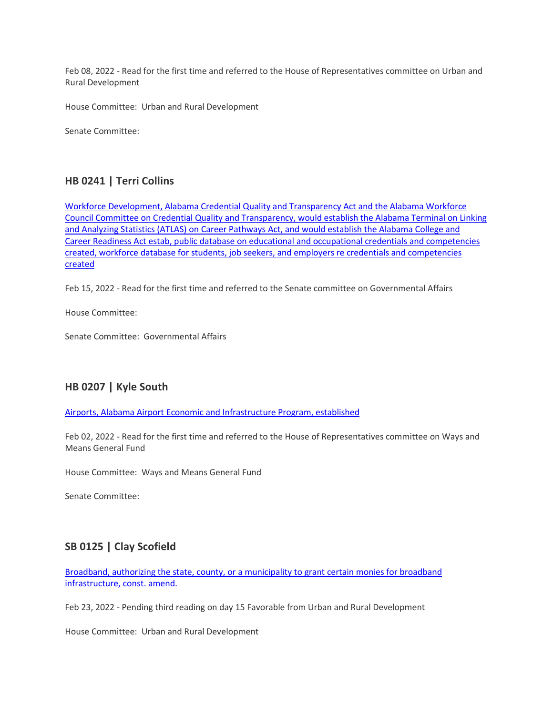Feb 08, 2022 - Read for the first time and referred to the House of Representatives committee on Urban and Rural Development

House Committee: Urban and Rural Development

Senate Committee:

### **HB 0241 | Terri Collins**

[Workforce Development, Alabama Credential Quality and Transparency Act and the Alabama Workforce](https://url.emailprotection.link/?bh8YdOKQffzFvuJ6yfNXvfVsvVdjfQohlGJfrugl9eZRF0ZpECQdXlpha0xelNFFS0pL9JlZIMiJBTf-DYAAhaekbYsaCLogTT3JrOo6hsDvvrxsHfI62l7t30woEsFo15afbKI9Q-uR5n5tUS3fuf18G0gtckSlpe6SrbVuQcOlMo3VjxzRjSFwA80ZtDJ7KMLxeSWUbCWljlojPjCxdsajWEQhsmt0Irze1gijx5DN2dXkYDswJ81N3fiAgZmdg5Eqw9MiorojwthDHger0zcOVQzqEK4_wiGPaKAXpu8wO23ILV4ujAtOKsSECPaZh99KnI3A8RtF_5JdNMcFrj_SKx4nCygTaqp4JJdzV7T9oDSngKPralb_BeHL1pQLVu4lFNC4Cy1k4Zo7o-XCEFWkC9dSVYLutBmU5lelDDeaRGiVOe01vNhjj4JC1-PF6PrRE76bAsBczLRsOu8sxOtxuM4I5H3iu6pemIarlzv6S0wHniRQfBUeIe4g7m_ND2T31BuycWixBQP6fyjSjII0trwalxQWIFbohT4u_1ieLwxRfnzg0SbXUs-fyjmn1je7hcIlmlBCOulFzlGstwXR0G2hHSlPE662SjG_2w9eGRtDvC7cUEpWhWlhF6olE)  [Council Committee on Credential Quality and Transparency, would establish the Alabama Terminal on Linking](https://url.emailprotection.link/?bh8YdOKQffzFvuJ6yfNXvfVsvVdjfQohlGJfrugl9eZRF0ZpECQdXlpha0xelNFFS0pL9JlZIMiJBTf-DYAAhaekbYsaCLogTT3JrOo6hsDvvrxsHfI62l7t30woEsFo15afbKI9Q-uR5n5tUS3fuf18G0gtckSlpe6SrbVuQcOlMo3VjxzRjSFwA80ZtDJ7KMLxeSWUbCWljlojPjCxdsajWEQhsmt0Irze1gijx5DN2dXkYDswJ81N3fiAgZmdg5Eqw9MiorojwthDHger0zcOVQzqEK4_wiGPaKAXpu8wO23ILV4ujAtOKsSECPaZh99KnI3A8RtF_5JdNMcFrj_SKx4nCygTaqp4JJdzV7T9oDSngKPralb_BeHL1pQLVu4lFNC4Cy1k4Zo7o-XCEFWkC9dSVYLutBmU5lelDDeaRGiVOe01vNhjj4JC1-PF6PrRE76bAsBczLRsOu8sxOtxuM4I5H3iu6pemIarlzv6S0wHniRQfBUeIe4g7m_ND2T31BuycWixBQP6fyjSjII0trwalxQWIFbohT4u_1ieLwxRfnzg0SbXUs-fyjmn1je7hcIlmlBCOulFzlGstwXR0G2hHSlPE662SjG_2w9eGRtDvC7cUEpWhWlhF6olE)  [and Analyzing Statistics \(ATLAS\) on Career Pathways Act, and would establish the Alabama College and](https://url.emailprotection.link/?bh8YdOKQffzFvuJ6yfNXvfVsvVdjfQohlGJfrugl9eZRF0ZpECQdXlpha0xelNFFS0pL9JlZIMiJBTf-DYAAhaekbYsaCLogTT3JrOo6hsDvvrxsHfI62l7t30woEsFo15afbKI9Q-uR5n5tUS3fuf18G0gtckSlpe6SrbVuQcOlMo3VjxzRjSFwA80ZtDJ7KMLxeSWUbCWljlojPjCxdsajWEQhsmt0Irze1gijx5DN2dXkYDswJ81N3fiAgZmdg5Eqw9MiorojwthDHger0zcOVQzqEK4_wiGPaKAXpu8wO23ILV4ujAtOKsSECPaZh99KnI3A8RtF_5JdNMcFrj_SKx4nCygTaqp4JJdzV7T9oDSngKPralb_BeHL1pQLVu4lFNC4Cy1k4Zo7o-XCEFWkC9dSVYLutBmU5lelDDeaRGiVOe01vNhjj4JC1-PF6PrRE76bAsBczLRsOu8sxOtxuM4I5H3iu6pemIarlzv6S0wHniRQfBUeIe4g7m_ND2T31BuycWixBQP6fyjSjII0trwalxQWIFbohT4u_1ieLwxRfnzg0SbXUs-fyjmn1je7hcIlmlBCOulFzlGstwXR0G2hHSlPE662SjG_2w9eGRtDvC7cUEpWhWlhF6olE)  [Career Readiness Act estab, public database on educational and occupational credentials and competencies](https://url.emailprotection.link/?bh8YdOKQffzFvuJ6yfNXvfVsvVdjfQohlGJfrugl9eZRF0ZpECQdXlpha0xelNFFS0pL9JlZIMiJBTf-DYAAhaekbYsaCLogTT3JrOo6hsDvvrxsHfI62l7t30woEsFo15afbKI9Q-uR5n5tUS3fuf18G0gtckSlpe6SrbVuQcOlMo3VjxzRjSFwA80ZtDJ7KMLxeSWUbCWljlojPjCxdsajWEQhsmt0Irze1gijx5DN2dXkYDswJ81N3fiAgZmdg5Eqw9MiorojwthDHger0zcOVQzqEK4_wiGPaKAXpu8wO23ILV4ujAtOKsSECPaZh99KnI3A8RtF_5JdNMcFrj_SKx4nCygTaqp4JJdzV7T9oDSngKPralb_BeHL1pQLVu4lFNC4Cy1k4Zo7o-XCEFWkC9dSVYLutBmU5lelDDeaRGiVOe01vNhjj4JC1-PF6PrRE76bAsBczLRsOu8sxOtxuM4I5H3iu6pemIarlzv6S0wHniRQfBUeIe4g7m_ND2T31BuycWixBQP6fyjSjII0trwalxQWIFbohT4u_1ieLwxRfnzg0SbXUs-fyjmn1je7hcIlmlBCOulFzlGstwXR0G2hHSlPE662SjG_2w9eGRtDvC7cUEpWhWlhF6olE)  [created, workforce database for students, job seekers, and employers re credentials and competencies](https://url.emailprotection.link/?bh8YdOKQffzFvuJ6yfNXvfVsvVdjfQohlGJfrugl9eZRF0ZpECQdXlpha0xelNFFS0pL9JlZIMiJBTf-DYAAhaekbYsaCLogTT3JrOo6hsDvvrxsHfI62l7t30woEsFo15afbKI9Q-uR5n5tUS3fuf18G0gtckSlpe6SrbVuQcOlMo3VjxzRjSFwA80ZtDJ7KMLxeSWUbCWljlojPjCxdsajWEQhsmt0Irze1gijx5DN2dXkYDswJ81N3fiAgZmdg5Eqw9MiorojwthDHger0zcOVQzqEK4_wiGPaKAXpu8wO23ILV4ujAtOKsSECPaZh99KnI3A8RtF_5JdNMcFrj_SKx4nCygTaqp4JJdzV7T9oDSngKPralb_BeHL1pQLVu4lFNC4Cy1k4Zo7o-XCEFWkC9dSVYLutBmU5lelDDeaRGiVOe01vNhjj4JC1-PF6PrRE76bAsBczLRsOu8sxOtxuM4I5H3iu6pemIarlzv6S0wHniRQfBUeIe4g7m_ND2T31BuycWixBQP6fyjSjII0trwalxQWIFbohT4u_1ieLwxRfnzg0SbXUs-fyjmn1je7hcIlmlBCOulFzlGstwXR0G2hHSlPE662SjG_2w9eGRtDvC7cUEpWhWlhF6olE)  [created](https://url.emailprotection.link/?bh8YdOKQffzFvuJ6yfNXvfVsvVdjfQohlGJfrugl9eZRF0ZpECQdXlpha0xelNFFS0pL9JlZIMiJBTf-DYAAhaekbYsaCLogTT3JrOo6hsDvvrxsHfI62l7t30woEsFo15afbKI9Q-uR5n5tUS3fuf18G0gtckSlpe6SrbVuQcOlMo3VjxzRjSFwA80ZtDJ7KMLxeSWUbCWljlojPjCxdsajWEQhsmt0Irze1gijx5DN2dXkYDswJ81N3fiAgZmdg5Eqw9MiorojwthDHger0zcOVQzqEK4_wiGPaKAXpu8wO23ILV4ujAtOKsSECPaZh99KnI3A8RtF_5JdNMcFrj_SKx4nCygTaqp4JJdzV7T9oDSngKPralb_BeHL1pQLVu4lFNC4Cy1k4Zo7o-XCEFWkC9dSVYLutBmU5lelDDeaRGiVOe01vNhjj4JC1-PF6PrRE76bAsBczLRsOu8sxOtxuM4I5H3iu6pemIarlzv6S0wHniRQfBUeIe4g7m_ND2T31BuycWixBQP6fyjSjII0trwalxQWIFbohT4u_1ieLwxRfnzg0SbXUs-fyjmn1je7hcIlmlBCOulFzlGstwXR0G2hHSlPE662SjG_2w9eGRtDvC7cUEpWhWlhF6olE)

Feb 15, 2022 - Read for the first time and referred to the Senate committee on Governmental Affairs

House Committee:

Senate Committee: Governmental Affairs

### **HB 0207 | Kyle South**

[Airports, Alabama Airport Economic and Infrastructure Program, established](https://url.emailprotection.link/?bNaY3c0d0VIvlDCyTYg9WEnjrafi1A0B-bj1GSI9l1U7BHVnjP1crigsi19YNQ7R7De94dGbpO9mhXPiXIKEAfNRn31uixckF4wpo7CsXehysbEyj0J2YziF7wQn4xIstg0YAilMQwpHaVN9VRgLiPJOvwX3izVkgYN_SspaXjufhUnmpvk0t3xb4L5k3kRYjsuYzgyYxRJ7lB9FupjtEORArsXVzZIVtAS9M0oBCd1dKpqV8Ri8SXyOtufR1tBqonssHbnLhK_KyocKl3dG2kqA8EjETzu1gbtAUgk_Js-F9VW0xCxbWAym1ngEyMGg6ZBRalDvctEQzwXFNd8a-O2fl2nPX0JLJaEA1QS7mpXImMHuSjNma_1t3lMfefDYlg-_aWIofxpMqbzyGw1dMAtF87pff62RTjAN42sz_UnulGBJaWs6sx7DZXBZ6FZy22eyCzo997wiKIdJDgXsWSaHMWMXCRbQEtP5c9be69Qw6kKwWJdhpAD2RGKg6ForZmSmFnylcg2lwsk0IkUvDgfOTyY3wtKf2pF7uUS6HsR_wjB-uu94wSqIQ0kETDMiTZmElYAZtUM76GZ8haCE1a-Lu3F-H7f3nzRgBe6BaAmH9NC3S1Hxso11QAUIOt5jy)

Feb 02, 2022 - Read for the first time and referred to the House of Representatives committee on Ways and Means General Fund

House Committee: Ways and Means General Fund

Senate Committee:

# **SB 0125 | Clay Scofield**

[Broadband, authorizing the state, county, or a municipality to grant certain monies for broadband](https://url.emailprotection.link/?blbUogIWaA_HxoKejOSMrZVxx3GspyDmPDFqkhyMeMPxea5QGjlmvvo68OoZkoKVrXpw0dzlsHdFiHG0AZgQv_L7AkBca0x4-jlB7NrxtYfX4D5eNL5K3vSwhWz6_zMXHQpetmzPGdPFxtm-73ysxdxfDJBket9Oyq7XOkOhM4LK7xdTvhjvuepLuaOB7z-ga7l3KlLrqC8WdSCe1oAup3Q6id_zSAc0a6ru8U7MPAIeIYpVLO1pyvssh3e7k-m0QVk_oNc5AaVxYJa4KuxsFM4aPLXgLqoYala10RWiE8NFvODed0C-3r8X12Bk-CBJSYJHbjKuJrSbi5vayf2f2wv8n5YNFyqJx8niDODeDwFyttg8PBZTlykzag4yXvgQO3zScwghMn_lYxW_1n_0XUvfWtrgoopBXkFgah7AwXMUlVT-jg1I94tTSsFF0z2tEgruiG-AFMVKTfGSiF7fY3l8S8kQodaMmQnC3oLEhaub_KUAhiz1S1VNVnDMw7VQ1CwxjYkx9U6-5Rr09WEiw4t3cKAqQNVV_Zwn_YSUtcBJ0F0TFL39aZD3dqrx8iJl-9AL_4dG4TH7BQxk9XtLqyEgQ89vYdmKkVgtM_WrYSWkT_bXkT_kTUN-cOaUjeY20)  [infrastructure, const. amend.](https://url.emailprotection.link/?blbUogIWaA_HxoKejOSMrZVxx3GspyDmPDFqkhyMeMPxea5QGjlmvvo68OoZkoKVrXpw0dzlsHdFiHG0AZgQv_L7AkBca0x4-jlB7NrxtYfX4D5eNL5K3vSwhWz6_zMXHQpetmzPGdPFxtm-73ysxdxfDJBket9Oyq7XOkOhM4LK7xdTvhjvuepLuaOB7z-ga7l3KlLrqC8WdSCe1oAup3Q6id_zSAc0a6ru8U7MPAIeIYpVLO1pyvssh3e7k-m0QVk_oNc5AaVxYJa4KuxsFM4aPLXgLqoYala10RWiE8NFvODed0C-3r8X12Bk-CBJSYJHbjKuJrSbi5vayf2f2wv8n5YNFyqJx8niDODeDwFyttg8PBZTlykzag4yXvgQO3zScwghMn_lYxW_1n_0XUvfWtrgoopBXkFgah7AwXMUlVT-jg1I94tTSsFF0z2tEgruiG-AFMVKTfGSiF7fY3l8S8kQodaMmQnC3oLEhaub_KUAhiz1S1VNVnDMw7VQ1CwxjYkx9U6-5Rr09WEiw4t3cKAqQNVV_Zwn_YSUtcBJ0F0TFL39aZD3dqrx8iJl-9AL_4dG4TH7BQxk9XtLqyEgQ89vYdmKkVgtM_WrYSWkT_bXkT_kTUN-cOaUjeY20)

Feb 23, 2022 - Pending third reading on day 15 Favorable from Urban and Rural Development

House Committee: Urban and Rural Development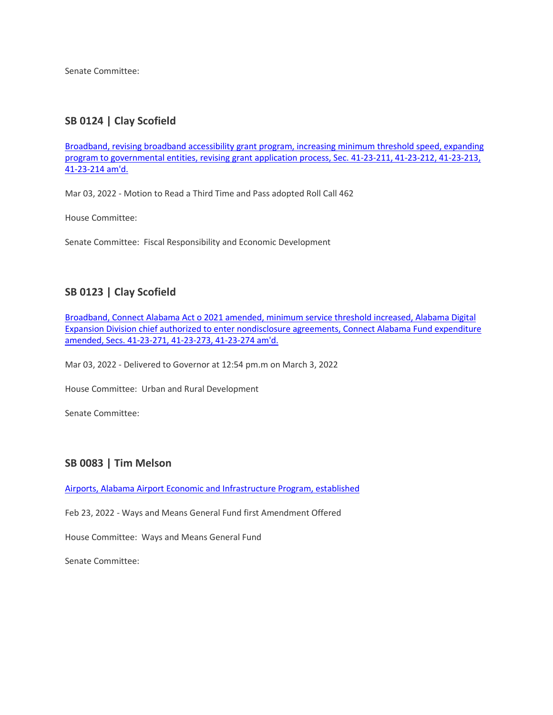Senate Committee:

# **SB 0124 | Clay Scofield**

[Broadband, revising broadband accessibility grant program, increasing minimum threshold speed, expanding](https://url.emailprotection.link/?bhJmOr0KrjBHsVKNcvmYEeFaj0_FFHDP4lD2GuzdowLnCpqoJQlF3DRwVyvc_FLsN-J0HKfXHzaugBer0Q9eKqU_nn5N74spLXyNYHcUBsmmIbc8k-v3Rp0frp5_cFYpn3IP6A2Gb7ZIX84i9oS8bXG9JCEtN7r1pzWOBGeI5MADp2oD_Told97tXgBB1VrRSnK87czGpMG2jCqAM86omYLIxpuDIQ_6YlOp36BwwCeZMHjvMWho_8GLLo46j44zdNnUzqW2MR2AS1OTKijZ-VMqOLUPQJ_WGRIfFRPMZIFdMgr8Oe5rebj89JDj5o5MNW2mflE9Amwk5wHA-O5hXSgUC9N6Kr7S61_sqWXaYFHMTCq1YnIwGXnTHmTiyXeDS1AUNCQ80vB5L2WD1VDHyqt6iV38vMDENz5h1-mFcyEq2a9JcNhXYKuaLiVv3fgIEpGxROoIfteNzoKms0vAzRveA3O2EL0XFufOG58cqGkA8CC_wKoN1yIAzGdKuZVZhaLrJAFxh2b-12wDVNqJTT3xhYVvRd2oSSKJ9S42ZwmvIYdtSJ49z7UGtAvbLl0k1nbWCZGphLW-RiLUjRysUhn0taeBX_BL70XuB5PdsQ4T4f43-MQ3bS5MlWVfnnrqt)  [program to governmental entities, revising grant application process, Sec. 41-23-211, 41-23-212, 41-23-213,](https://url.emailprotection.link/?bhJmOr0KrjBHsVKNcvmYEeFaj0_FFHDP4lD2GuzdowLnCpqoJQlF3DRwVyvc_FLsN-J0HKfXHzaugBer0Q9eKqU_nn5N74spLXyNYHcUBsmmIbc8k-v3Rp0frp5_cFYpn3IP6A2Gb7ZIX84i9oS8bXG9JCEtN7r1pzWOBGeI5MADp2oD_Told97tXgBB1VrRSnK87czGpMG2jCqAM86omYLIxpuDIQ_6YlOp36BwwCeZMHjvMWho_8GLLo46j44zdNnUzqW2MR2AS1OTKijZ-VMqOLUPQJ_WGRIfFRPMZIFdMgr8Oe5rebj89JDj5o5MNW2mflE9Amwk5wHA-O5hXSgUC9N6Kr7S61_sqWXaYFHMTCq1YnIwGXnTHmTiyXeDS1AUNCQ80vB5L2WD1VDHyqt6iV38vMDENz5h1-mFcyEq2a9JcNhXYKuaLiVv3fgIEpGxROoIfteNzoKms0vAzRveA3O2EL0XFufOG58cqGkA8CC_wKoN1yIAzGdKuZVZhaLrJAFxh2b-12wDVNqJTT3xhYVvRd2oSSKJ9S42ZwmvIYdtSJ49z7UGtAvbLl0k1nbWCZGphLW-RiLUjRysUhn0taeBX_BL70XuB5PdsQ4T4f43-MQ3bS5MlWVfnnrqt)  [41-23-214 am'd.](https://url.emailprotection.link/?bhJmOr0KrjBHsVKNcvmYEeFaj0_FFHDP4lD2GuzdowLnCpqoJQlF3DRwVyvc_FLsN-J0HKfXHzaugBer0Q9eKqU_nn5N74spLXyNYHcUBsmmIbc8k-v3Rp0frp5_cFYpn3IP6A2Gb7ZIX84i9oS8bXG9JCEtN7r1pzWOBGeI5MADp2oD_Told97tXgBB1VrRSnK87czGpMG2jCqAM86omYLIxpuDIQ_6YlOp36BwwCeZMHjvMWho_8GLLo46j44zdNnUzqW2MR2AS1OTKijZ-VMqOLUPQJ_WGRIfFRPMZIFdMgr8Oe5rebj89JDj5o5MNW2mflE9Amwk5wHA-O5hXSgUC9N6Kr7S61_sqWXaYFHMTCq1YnIwGXnTHmTiyXeDS1AUNCQ80vB5L2WD1VDHyqt6iV38vMDENz5h1-mFcyEq2a9JcNhXYKuaLiVv3fgIEpGxROoIfteNzoKms0vAzRveA3O2EL0XFufOG58cqGkA8CC_wKoN1yIAzGdKuZVZhaLrJAFxh2b-12wDVNqJTT3xhYVvRd2oSSKJ9S42ZwmvIYdtSJ49z7UGtAvbLl0k1nbWCZGphLW-RiLUjRysUhn0taeBX_BL70XuB5PdsQ4T4f43-MQ3bS5MlWVfnnrqt)

Mar 03, 2022 - Motion to Read a Third Time and Pass adopted Roll Call 462

House Committee:

Senate Committee: Fiscal Responsibility and Economic Development

# **SB 0123 | Clay Scofield**

[Broadband, Connect Alabama Act o 2021 amended, minimum service threshold increased, Alabama Digital](https://url.emailprotection.link/?bwshKdcZWKKME_NEM6N_8uVHKaYE9VngJ2zh7jzSv6KDByx16J3L0mPOha3WKqoHsfcjsgslurTs9M_Db9ekEjXZ81IS0RXcUcRIxGKR_pI6kABGHYeMR8j2wtRRr56lMVeyX5aP42m0XUz9G83idHoxx_nGvbBI3NgoJVQS5Xj0nRRCd1NnoCv7V4aL8Bqty7YM1s4b_joRUiXY9FMF-HkJvd3xLdbXFlQ-kP3xra3YJ7GZEnVM9kK5LIrNBQp5iAZ3D5p7ZqhuMoZdobI24vHbOFCxX8BWGyzo8NXlDlgDho2kNAB-DtUbVmGG-gBEgcQz4hQjaxb1iC0Y7G5v82KK8iRkqFtu-QvTSrDF0BQCFp9rjo2paH0YS_ZFq_DXk9rXf56VxhhtfNZaBRUAoOg2y_X-QNYRjjRIJ_mmDEtwB4s8BA8Oiok0SPJbEk5RGfUNM3XDkE9b2LCcEJeeWcqlWIWaSGTRdCkygCxcKK1bg5llIeAteu1lb181xEyFSjqipjytpkG3t6ZMboKYipl-7xzvW0qPYG4qevUKrPdd_ta6FCAHgBd-iNtpT9fMabobUslj1F1_xv54dlk1q4DWaD5rZBfCfsnr_GZXc-ThtgfFeiy2-Iw7ZJBiE8j3R)  [Expansion Division chief authorized to enter nondisclosure agreements, Connect Alabama Fund expenditure](https://url.emailprotection.link/?bwshKdcZWKKME_NEM6N_8uVHKaYE9VngJ2zh7jzSv6KDByx16J3L0mPOha3WKqoHsfcjsgslurTs9M_Db9ekEjXZ81IS0RXcUcRIxGKR_pI6kABGHYeMR8j2wtRRr56lMVeyX5aP42m0XUz9G83idHoxx_nGvbBI3NgoJVQS5Xj0nRRCd1NnoCv7V4aL8Bqty7YM1s4b_joRUiXY9FMF-HkJvd3xLdbXFlQ-kP3xra3YJ7GZEnVM9kK5LIrNBQp5iAZ3D5p7ZqhuMoZdobI24vHbOFCxX8BWGyzo8NXlDlgDho2kNAB-DtUbVmGG-gBEgcQz4hQjaxb1iC0Y7G5v82KK8iRkqFtu-QvTSrDF0BQCFp9rjo2paH0YS_ZFq_DXk9rXf56VxhhtfNZaBRUAoOg2y_X-QNYRjjRIJ_mmDEtwB4s8BA8Oiok0SPJbEk5RGfUNM3XDkE9b2LCcEJeeWcqlWIWaSGTRdCkygCxcKK1bg5llIeAteu1lb181xEyFSjqipjytpkG3t6ZMboKYipl-7xzvW0qPYG4qevUKrPdd_ta6FCAHgBd-iNtpT9fMabobUslj1F1_xv54dlk1q4DWaD5rZBfCfsnr_GZXc-ThtgfFeiy2-Iw7ZJBiE8j3R)  [amended, Secs. 41-23-271, 41-23-273, 41-23-274 am'd.](https://url.emailprotection.link/?bwshKdcZWKKME_NEM6N_8uVHKaYE9VngJ2zh7jzSv6KDByx16J3L0mPOha3WKqoHsfcjsgslurTs9M_Db9ekEjXZ81IS0RXcUcRIxGKR_pI6kABGHYeMR8j2wtRRr56lMVeyX5aP42m0XUz9G83idHoxx_nGvbBI3NgoJVQS5Xj0nRRCd1NnoCv7V4aL8Bqty7YM1s4b_joRUiXY9FMF-HkJvd3xLdbXFlQ-kP3xra3YJ7GZEnVM9kK5LIrNBQp5iAZ3D5p7ZqhuMoZdobI24vHbOFCxX8BWGyzo8NXlDlgDho2kNAB-DtUbVmGG-gBEgcQz4hQjaxb1iC0Y7G5v82KK8iRkqFtu-QvTSrDF0BQCFp9rjo2paH0YS_ZFq_DXk9rXf56VxhhtfNZaBRUAoOg2y_X-QNYRjjRIJ_mmDEtwB4s8BA8Oiok0SPJbEk5RGfUNM3XDkE9b2LCcEJeeWcqlWIWaSGTRdCkygCxcKK1bg5llIeAteu1lb181xEyFSjqipjytpkG3t6ZMboKYipl-7xzvW0qPYG4qevUKrPdd_ta6FCAHgBd-iNtpT9fMabobUslj1F1_xv54dlk1q4DWaD5rZBfCfsnr_GZXc-ThtgfFeiy2-Iw7ZJBiE8j3R)

Mar 03, 2022 - Delivered to Governor at 12:54 pm.m on March 3, 2022

House Committee: Urban and Rural Development

Senate Committee:

# **SB 0083 | Tim Melson**

[Airports, Alabama Airport Economic and Infrastructure Program, established](https://url.emailprotection.link/?b7hQkeuEg6tQHgLO2rqeIwAbSCTWRFrCnT2K2FI1iarx6Net3voVCofH7rELb3tBaRDkPzK7e1ACeC0h_Vdo2D85qWhIgTbMRsIv_wZBr6hd0JVjbylWtQ1_w_Woqw_FmzMqpNbvb2DP3TIxDTXqL-i7KdGei4w0X9txqEHAVRJHKj-C6R2A7ttlzhgJpLXLtqOdMwLqRNjWarPqNtJwvMReDINsSSTe9ISmRhyIGTiBkxEQFhXNsi8rB1QrGr6bVpWTdkLwiALLFQ9GMcMZ5TN4pz5Dxze-Qgcex6Dec83_BYp0Wj3E2fh204rlDAgoChd0q-mIXBs6CIi_VBBN3FpwdrLzQJNv7jpICmmml2GDUi3nJSAC7MJWqVHbRMQ8eSSTsP3_uDDg_2FFnwtjqn9DOeBqSkEUtHj5jPofHcMF1fJb8E-Odh38-rNi95LW4kmGWoLb4jsvnDsAgo7_hh8Ur40aWsRBNEUJKKzQCwy0iP-fB769Ha74kpIm6h2b7dA-hH4t3EGVRLoe3S-KuPbtUM98gu0tVNLdwZxbrwGMDLvOaezMpekzimL81KewcrIOQUMiS9ZVVR_q--Mdej4LMCIwNpRI2JZVYGZTfQN0j9hAQhBouEAoGeCZ_Lphi)

Feb 23, 2022 - Ways and Means General Fund first Amendment Offered

House Committee: Ways and Means General Fund

Senate Committee: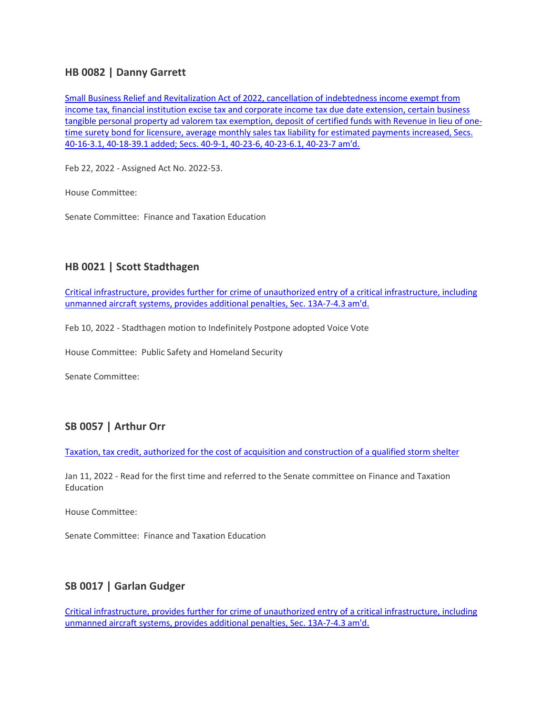### **HB 0082 | Danny Garrett**

[Small Business Relief and Revitalization Act of 2022, cancellation of indebtedness income exempt from](https://url.emailprotection.link/?bw1_bdY0HKTP58a6M499fpKRO0vShnpUvMzqksGYm3Y9a_fB6T3jcuLeSC_rmkZ-twk4TSnjHkk5rDPJyQAbFWV0Kxiyin-a9mCzjKijiSH2kwthjd4kxcKR-dQ0kvRo0BZKaXOpkHTIq0QXsDxWE7piGqCFLPLThKqk3_EEf3TkHLaoDoK-ZheM4T52tJ3sz8GR-qhCq5Qr6M6bZcmc0AdVX6J5-AqRLH2voo7yAEjj7NA2xvnDCyfYUVFMoKa3LfBv6NeSgGbmtbq2HNAC-E_ORIjfxIlVujnFZM3HodK99IDat8nPfIGmeZplOpC5klTTFnodH6pwVmKmB58P_dIVbHN2udm5p8HVigbHXKfc5VXq-Lq6Kb97pRL05gybNRRVPX4Ns4WKInNvbY1WnMSvQKjwsbW3tvSxF1OxX60o-MZiWXZ565i-MGxrmRXYx7--EqCXXXdjYH5jLRCNQIeHx2Z6hhOnTTpis-fuSpbrRKNRYbRIIkzqsZdSs1Z7-1ovsjZ8TD4ikJIcDLK82n1PTSPwIcDWmzFR4O8i1mIZnVuFc_jB6hYQ3fnfwIR9zQhutVx_84YTPtbnP5iJcBgZYp-axjeWlPT5PsmXkQgSXg0vwAnzhLbeRXiOPzPWW)  [income tax, financial institution excise tax and corporate income tax due date extension, certain business](https://url.emailprotection.link/?bw1_bdY0HKTP58a6M499fpKRO0vShnpUvMzqksGYm3Y9a_fB6T3jcuLeSC_rmkZ-twk4TSnjHkk5rDPJyQAbFWV0Kxiyin-a9mCzjKijiSH2kwthjd4kxcKR-dQ0kvRo0BZKaXOpkHTIq0QXsDxWE7piGqCFLPLThKqk3_EEf3TkHLaoDoK-ZheM4T52tJ3sz8GR-qhCq5Qr6M6bZcmc0AdVX6J5-AqRLH2voo7yAEjj7NA2xvnDCyfYUVFMoKa3LfBv6NeSgGbmtbq2HNAC-E_ORIjfxIlVujnFZM3HodK99IDat8nPfIGmeZplOpC5klTTFnodH6pwVmKmB58P_dIVbHN2udm5p8HVigbHXKfc5VXq-Lq6Kb97pRL05gybNRRVPX4Ns4WKInNvbY1WnMSvQKjwsbW3tvSxF1OxX60o-MZiWXZ565i-MGxrmRXYx7--EqCXXXdjYH5jLRCNQIeHx2Z6hhOnTTpis-fuSpbrRKNRYbRIIkzqsZdSs1Z7-1ovsjZ8TD4ikJIcDLK82n1PTSPwIcDWmzFR4O8i1mIZnVuFc_jB6hYQ3fnfwIR9zQhutVx_84YTPtbnP5iJcBgZYp-axjeWlPT5PsmXkQgSXg0vwAnzhLbeRXiOPzPWW)  [tangible personal property ad valorem tax exemption, deposit of certified funds with Revenue in lieu of one](https://url.emailprotection.link/?bw1_bdY0HKTP58a6M499fpKRO0vShnpUvMzqksGYm3Y9a_fB6T3jcuLeSC_rmkZ-twk4TSnjHkk5rDPJyQAbFWV0Kxiyin-a9mCzjKijiSH2kwthjd4kxcKR-dQ0kvRo0BZKaXOpkHTIq0QXsDxWE7piGqCFLPLThKqk3_EEf3TkHLaoDoK-ZheM4T52tJ3sz8GR-qhCq5Qr6M6bZcmc0AdVX6J5-AqRLH2voo7yAEjj7NA2xvnDCyfYUVFMoKa3LfBv6NeSgGbmtbq2HNAC-E_ORIjfxIlVujnFZM3HodK99IDat8nPfIGmeZplOpC5klTTFnodH6pwVmKmB58P_dIVbHN2udm5p8HVigbHXKfc5VXq-Lq6Kb97pRL05gybNRRVPX4Ns4WKInNvbY1WnMSvQKjwsbW3tvSxF1OxX60o-MZiWXZ565i-MGxrmRXYx7--EqCXXXdjYH5jLRCNQIeHx2Z6hhOnTTpis-fuSpbrRKNRYbRIIkzqsZdSs1Z7-1ovsjZ8TD4ikJIcDLK82n1PTSPwIcDWmzFR4O8i1mIZnVuFc_jB6hYQ3fnfwIR9zQhutVx_84YTPtbnP5iJcBgZYp-axjeWlPT5PsmXkQgSXg0vwAnzhLbeRXiOPzPWW)[time surety bond for licensure, average monthly sales tax liability for estimated payments increased, Secs.](https://url.emailprotection.link/?bw1_bdY0HKTP58a6M499fpKRO0vShnpUvMzqksGYm3Y9a_fB6T3jcuLeSC_rmkZ-twk4TSnjHkk5rDPJyQAbFWV0Kxiyin-a9mCzjKijiSH2kwthjd4kxcKR-dQ0kvRo0BZKaXOpkHTIq0QXsDxWE7piGqCFLPLThKqk3_EEf3TkHLaoDoK-ZheM4T52tJ3sz8GR-qhCq5Qr6M6bZcmc0AdVX6J5-AqRLH2voo7yAEjj7NA2xvnDCyfYUVFMoKa3LfBv6NeSgGbmtbq2HNAC-E_ORIjfxIlVujnFZM3HodK99IDat8nPfIGmeZplOpC5klTTFnodH6pwVmKmB58P_dIVbHN2udm5p8HVigbHXKfc5VXq-Lq6Kb97pRL05gybNRRVPX4Ns4WKInNvbY1WnMSvQKjwsbW3tvSxF1OxX60o-MZiWXZ565i-MGxrmRXYx7--EqCXXXdjYH5jLRCNQIeHx2Z6hhOnTTpis-fuSpbrRKNRYbRIIkzqsZdSs1Z7-1ovsjZ8TD4ikJIcDLK82n1PTSPwIcDWmzFR4O8i1mIZnVuFc_jB6hYQ3fnfwIR9zQhutVx_84YTPtbnP5iJcBgZYp-axjeWlPT5PsmXkQgSXg0vwAnzhLbeRXiOPzPWW)  [40-16-3.1, 40-18-39.1 added; Secs. 40-9-1, 40-23-6, 40-23-6.1, 40-23-7 am'd.](https://url.emailprotection.link/?bw1_bdY0HKTP58a6M499fpKRO0vShnpUvMzqksGYm3Y9a_fB6T3jcuLeSC_rmkZ-twk4TSnjHkk5rDPJyQAbFWV0Kxiyin-a9mCzjKijiSH2kwthjd4kxcKR-dQ0kvRo0BZKaXOpkHTIq0QXsDxWE7piGqCFLPLThKqk3_EEf3TkHLaoDoK-ZheM4T52tJ3sz8GR-qhCq5Qr6M6bZcmc0AdVX6J5-AqRLH2voo7yAEjj7NA2xvnDCyfYUVFMoKa3LfBv6NeSgGbmtbq2HNAC-E_ORIjfxIlVujnFZM3HodK99IDat8nPfIGmeZplOpC5klTTFnodH6pwVmKmB58P_dIVbHN2udm5p8HVigbHXKfc5VXq-Lq6Kb97pRL05gybNRRVPX4Ns4WKInNvbY1WnMSvQKjwsbW3tvSxF1OxX60o-MZiWXZ565i-MGxrmRXYx7--EqCXXXdjYH5jLRCNQIeHx2Z6hhOnTTpis-fuSpbrRKNRYbRIIkzqsZdSs1Z7-1ovsjZ8TD4ikJIcDLK82n1PTSPwIcDWmzFR4O8i1mIZnVuFc_jB6hYQ3fnfwIR9zQhutVx_84YTPtbnP5iJcBgZYp-axjeWlPT5PsmXkQgSXg0vwAnzhLbeRXiOPzPWW)

Feb 22, 2022 - Assigned Act No. 2022-53.

House Committee:

Senate Committee: Finance and Taxation Education

# **HB 0021 | Scott Stadthagen**

[Critical infrastructure, provides further for crime of unauthorized entry of a critical infrastructure, including](https://url.emailprotection.link/?bDB1f0DJlheYrjjBS1_uuNlO1o897bi5AMYoReCS1cSUAzXHrn626Sh2ePCSY6Fe-QbRZp-ssejvXKUDOUu-afGmATmOToacyL9jFlMAadSpk34guYIYSZ_uK2PyW_S4009ANvdoj-iQ0idfRFixV5qb_Z4nMRNk8etkiPnmE2IpPI7A9UL8NONB_tauys--HJke9TjdqH0cdqXOi9NuthMMYkta-ZidMdfd58zNTwTBDCjUubbrv9GPMn2OU6jadUhxBMN5CQeabH_2THTAmzwm_WZJ3cloNlKHAkf6rbRkTnv4AY9ZjkI72xtXd8_UVC8IxVQKxCMeJZ36VAJCyvTFBtzp_8-_6HqaxtlTN5NyWur2cfYK9opEu7-A83UMOKjVHc6nTgfqEB1HIxTTLJfIy0VWWcDROcXiGiOM4i6Gri_r7RfqI_kY_y21GGvqF7PAT-AIBMXe0eO_OWuAA-KiVEVATQkZsvOGP8vLqUTCKPXsZuiLSopDxX_5TqBlgvrYg1J2-l4FUYHQUdJTvVlf9SbLyG0z_bXOYrlCQvH3u3-1QSGI2udQMEaaPcRcq7uapvzyQRQcOdFwtZeeexFa4Qjw95YU2kq573HvM6b8DEAmBqoBfPblN31agzz19)  [unmanned aircraft systems, provides additional penalties, Sec. 13A-7-4.3 am'd.](https://url.emailprotection.link/?bDB1f0DJlheYrjjBS1_uuNlO1o897bi5AMYoReCS1cSUAzXHrn626Sh2ePCSY6Fe-QbRZp-ssejvXKUDOUu-afGmATmOToacyL9jFlMAadSpk34guYIYSZ_uK2PyW_S4009ANvdoj-iQ0idfRFixV5qb_Z4nMRNk8etkiPnmE2IpPI7A9UL8NONB_tauys--HJke9TjdqH0cdqXOi9NuthMMYkta-ZidMdfd58zNTwTBDCjUubbrv9GPMn2OU6jadUhxBMN5CQeabH_2THTAmzwm_WZJ3cloNlKHAkf6rbRkTnv4AY9ZjkI72xtXd8_UVC8IxVQKxCMeJZ36VAJCyvTFBtzp_8-_6HqaxtlTN5NyWur2cfYK9opEu7-A83UMOKjVHc6nTgfqEB1HIxTTLJfIy0VWWcDROcXiGiOM4i6Gri_r7RfqI_kY_y21GGvqF7PAT-AIBMXe0eO_OWuAA-KiVEVATQkZsvOGP8vLqUTCKPXsZuiLSopDxX_5TqBlgvrYg1J2-l4FUYHQUdJTvVlf9SbLyG0z_bXOYrlCQvH3u3-1QSGI2udQMEaaPcRcq7uapvzyQRQcOdFwtZeeexFa4Qjw95YU2kq573HvM6b8DEAmBqoBfPblN31agzz19)

Feb 10, 2022 - Stadthagen motion to Indefinitely Postpone adopted Voice Vote

House Committee: Public Safety and Homeland Security

Senate Committee:

# **SB 0057 | Arthur Orr**

[Taxation, tax credit, authorized for the cost of acquisition and construction of a qualified storm shelter](https://url.emailprotection.link/?buh2FDk9GQ08hGjFpCpEa38VY5Qf-dM3F5f64vp8pLqaq3Kf4ZLfrCN-qAngCLLZJ6Fme9_uVlEm2mX6gUpYjSnGys_ACxzQB8NXWJWEi8N01zKfaLi4vkzK7NOkSr4WuBrgYrOgwEbQgP1vwdEhRu02HN_LqAK-47-16tQmaZHeRtdPPWh2Tde4tnHPLmlfV1RR49_i2f42fsYECbjKyw7aJBdGnAxF_EiuMCzYPQhvGHLBTlbEQglQ37XtNcrq5H3JH405ccvDuAPrnFUOFSJzbeUa52dxg_mu7kfXZOLnIdvsWJEF5LBj2SfiieFqaVvCLWOmePmp71g6ox2zA-2bGn7hRNoAtXsUuPCmmpnG0EYJf6vO7OcHyBLQ-TmYBrC7HuOoFABuK8cYf5gnTKVj9fzjbJmRwRm9IysDG7qjbXfNR1cpi760Aj6IqPuyDFrHlRIrUWyGO4MFyWqqmTExhzAnGGzc10UN3IfjuqQ8MO8WP-4jTS_U3UOhf-iZObAEOLadVgNTa6M2-4h4Domh-ieGqMFt3-2NXEk8vzGRAzq-Fe4-r9LFpvkw-O2QPKW7pNHlBelgLF2G0VsGjLmzZjX9PJALo6uoapffuqXBBTBCjhCn24u9D0PkqHU38)

Jan 11, 2022 - Read for the first time and referred to the Senate committee on Finance and Taxation Education

House Committee:

Senate Committee: Finance and Taxation Education

# **SB 0017 | Garlan Gudger**

[Critical infrastructure, provides further for crime of unauthorized entry of a critical infrastructure, including](https://url.emailprotection.link/?bmTp8T6dW6nnJg8XnOr8pCteOep2Jnd3OzhE3Ec-QZcWaAQtGQzDsaENLGV_Exxfy0CRY639M-i3BS3J_llaBWtfDuj00K-czMVkJUgVLsvbTtmsVWA2catQtbORVo3YvoweaCgl-n6Cqq9XsLTL1XGsUijc2Spbi5DZc5Ahm0p9hvAJdz_iCX_-PiqrCWkXEthCkxMIaUMUjZ0w0ky_lwseKqN31u3f8DwI8FwhhpRLgrD0Y1cssdxOJXj8Ib-TBqeeBUWI9RqB_ikj2QGs01WLTQdytW1Kgiv0b1j-5K_Ue0J4-PSpZCgbXUyfAfVLA_LS74uXvoU890uuV8CSgpEWxBCBIeaQRw2cjaEPK0ZB9evoKYcCexpsRM8dAJNjL8OprZQ_iBzCa8NHX5odMH1ujREVzSMplcwcTGZAt16UGXoWrmPOusGnDgN8gb8utsJn_znRUjHZNjMAoZK3xJKK2NkC0S3xBOQFgU3Zak070H6O-NdwzRGYV5afNHFf0GJUDPz3wF8_MmqjpsuWwbDb-KDsQGb01WcfF7byi8R18K_hBRGeejJhefUgzCaaSTC6WS7Aa-Waob9Z_VAuGZKgNoKSXaL_pffYdd6BgNAQo7o6DTWWX4O18ESKaU6Hy)  [unmanned aircraft systems, provides additional penalties, Sec. 13A-7-4.3 am'd.](https://url.emailprotection.link/?bmTp8T6dW6nnJg8XnOr8pCteOep2Jnd3OzhE3Ec-QZcWaAQtGQzDsaENLGV_Exxfy0CRY639M-i3BS3J_llaBWtfDuj00K-czMVkJUgVLsvbTtmsVWA2catQtbORVo3YvoweaCgl-n6Cqq9XsLTL1XGsUijc2Spbi5DZc5Ahm0p9hvAJdz_iCX_-PiqrCWkXEthCkxMIaUMUjZ0w0ky_lwseKqN31u3f8DwI8FwhhpRLgrD0Y1cssdxOJXj8Ib-TBqeeBUWI9RqB_ikj2QGs01WLTQdytW1Kgiv0b1j-5K_Ue0J4-PSpZCgbXUyfAfVLA_LS74uXvoU890uuV8CSgpEWxBCBIeaQRw2cjaEPK0ZB9evoKYcCexpsRM8dAJNjL8OprZQ_iBzCa8NHX5odMH1ujREVzSMplcwcTGZAt16UGXoWrmPOusGnDgN8gb8utsJn_znRUjHZNjMAoZK3xJKK2NkC0S3xBOQFgU3Zak070H6O-NdwzRGYV5afNHFf0GJUDPz3wF8_MmqjpsuWwbDb-KDsQGb01WcfF7byi8R18K_hBRGeejJhefUgzCaaSTC6WS7Aa-Waob9Z_VAuGZKgNoKSXaL_pffYdd6BgNAQo7o6DTWWX4O18ESKaU6Hy)